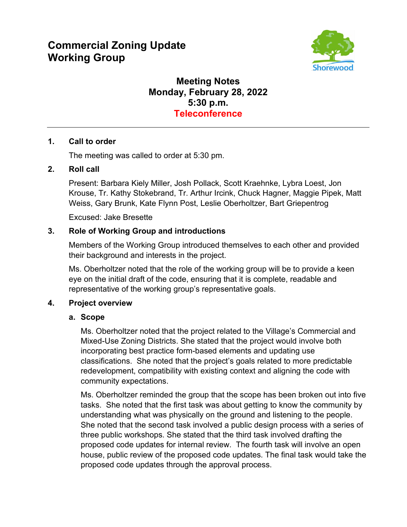# **Commercial Zoning Update Working Group**



# **Meeting Notes Monday, February 28, 2022 5:30 p.m. Teleconference**

#### **1. Call to order**

The meeting was called to order at 5:30 pm.

#### **2. Roll call**

Present: Barbara Kiely Miller, Josh Pollack, Scott Kraehnke, Lybra Loest, Jon Krouse, Tr. Kathy Stokebrand, Tr. Arthur Ircink, Chuck Hagner, Maggie Pipek, Matt Weiss, Gary Brunk, Kate Flynn Post, Leslie Oberholtzer, Bart Griepentrog

Excused: Jake Bresette

#### **3. Role of Working Group and introductions**

Members of the Working Group introduced themselves to each other and provided their background and interests in the project.

Ms. Oberholtzer noted that the role of the working group will be to provide a keen eye on the initial draft of the code, ensuring that it is complete, readable and representative of the working group's representative goals.

#### **4. Project overview**

#### **a. Scope**

Ms. Oberholtzer noted that the project related to the Village's Commercial and Mixed-Use Zoning Districts. She stated that the project would involve both incorporating best practice form-based elements and updating use classifications. She noted that the project's goals related to more predictable redevelopment, compatibility with existing context and aligning the code with community expectations.

Ms. Oberholtzer reminded the group that the scope has been broken out into five tasks. She noted that the first task was about getting to know the community by understanding what was physically on the ground and listening to the people. She noted that the second task involved a public design process with a series of three public workshops. She stated that the third task involved drafting the proposed code updates for internal review. The fourth task will involve an open house, public review of the proposed code updates. The final task would take the proposed code updates through the approval process.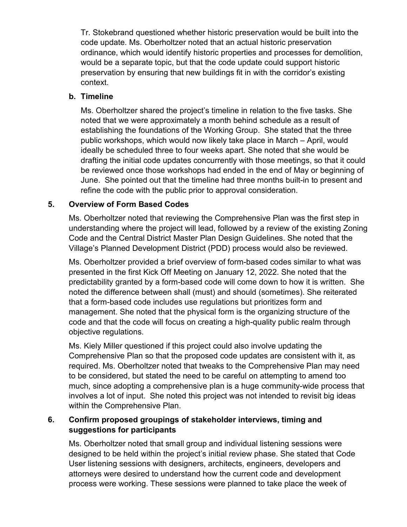Tr. Stokebrand questioned whether historic preservation would be built into the code update. Ms. Oberholtzer noted that an actual historic preservation ordinance, which would identify historic properties and processes for demolition, would be a separate topic, but that the code update could support historic preservation by ensuring that new buildings fit in with the corridor's existing context.

### **b. Timeline**

Ms. Oberholtzer shared the project's timeline in relation to the five tasks. She noted that we were approximately a month behind schedule as a result of establishing the foundations of the Working Group. She stated that the three public workshops, which would now likely take place in March – April, would ideally be scheduled three to four weeks apart. She noted that she would be drafting the initial code updates concurrently with those meetings, so that it could be reviewed once those workshops had ended in the end of May or beginning of June. She pointed out that the timeline had three months built-in to present and refine the code with the public prior to approval consideration.

## **5. Overview of Form Based Codes**

Ms. Oberholtzer noted that reviewing the Comprehensive Plan was the first step in understanding where the project will lead, followed by a review of the existing Zoning Code and the Central District Master Plan Design Guidelines. She noted that the Village's Planned Development District (PDD) process would also be reviewed.

Ms. Oberholtzer provided a brief overview of form-based codes similar to what was presented in the first Kick Off Meeting on January 12, 2022. She noted that the predictability granted by a form-based code will come down to how it is written. She noted the difference between shall (must) and should (sometimes). She reiterated that a form-based code includes use regulations but prioritizes form and management. She noted that the physical form is the organizing structure of the code and that the code will focus on creating a high-quality public realm through objective regulations.

Ms. Kiely Miller questioned if this project could also involve updating the Comprehensive Plan so that the proposed code updates are consistent with it, as required. Ms. Oberholtzer noted that tweaks to the Comprehensive Plan may need to be considered, but stated the need to be careful on attempting to amend too much, since adopting a comprehensive plan is a huge community-wide process that involves a lot of input. She noted this project was not intended to revisit big ideas within the Comprehensive Plan.

## **6. Confirm proposed groupings of stakeholder interviews, timing and suggestions for participants**

Ms. Oberholtzer noted that small group and individual listening sessions were designed to be held within the project's initial review phase. She stated that Code User listening sessions with designers, architects, engineers, developers and attorneys were desired to understand how the current code and development process were working. These sessions were planned to take place the week of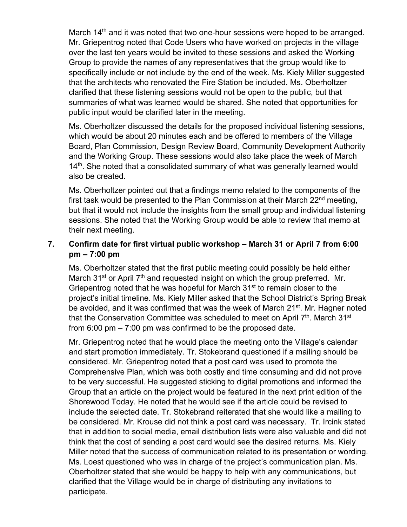March 14<sup>th</sup> and it was noted that two one-hour sessions were hoped to be arranged. Mr. Griepentrog noted that Code Users who have worked on projects in the village over the last ten years would be invited to these sessions and asked the Working Group to provide the names of any representatives that the group would like to specifically include or not include by the end of the week. Ms. Kiely Miller suggested that the architects who renovated the Fire Station be included. Ms. Oberholtzer clarified that these listening sessions would not be open to the public, but that summaries of what was learned would be shared. She noted that opportunities for public input would be clarified later in the meeting.

Ms. Oberholtzer discussed the details for the proposed individual listening sessions, which would be about 20 minutes each and be offered to members of the Village Board, Plan Commission, Design Review Board, Community Development Authority and the Working Group. These sessions would also take place the week of March  $14<sup>th</sup>$ . She noted that a consolidated summary of what was generally learned would also be created.

Ms. Oberholtzer pointed out that a findings memo related to the components of the first task would be presented to the Plan Commission at their March  $22<sup>nd</sup>$  meeting, but that it would not include the insights from the small group and individual listening sessions. She noted that the Working Group would be able to review that memo at their next meeting.

## **7. Confirm date for first virtual public workshop – March 31 or April 7 from 6:00 pm – 7:00 pm**

Ms. Oberholtzer stated that the first public meeting could possibly be held either March 31<sup>st</sup> or April  $7<sup>th</sup>$  and requested insight on which the group preferred. Mr. Griepentrog noted that he was hopeful for March 31<sup>st</sup> to remain closer to the project's initial timeline. Ms. Kiely Miller asked that the School District's Spring Break be avoided, and it was confirmed that was the week of March 21<sup>st</sup>. Mr. Hagner noted that the Conservation Committee was scheduled to meet on April 7<sup>th</sup>. March 31<sup>st</sup> from 6:00 pm – 7:00 pm was confirmed to be the proposed date.

Mr. Griepentrog noted that he would place the meeting onto the Village's calendar and start promotion immediately. Tr. Stokebrand questioned if a mailing should be considered. Mr. Griepentrog noted that a post card was used to promote the Comprehensive Plan, which was both costly and time consuming and did not prove to be very successful. He suggested sticking to digital promotions and informed the Group that an article on the project would be featured in the next print edition of the Shorewood Today. He noted that he would see if the article could be revised to include the selected date. Tr. Stokebrand reiterated that she would like a mailing to be considered. Mr. Krouse did not think a post card was necessary. Tr. Ircink stated that in addition to social media, email distribution lists were also valuable and did not think that the cost of sending a post card would see the desired returns. Ms. Kiely Miller noted that the success of communication related to its presentation or wording. Ms. Loest questioned who was in charge of the project's communication plan. Ms. Oberholtzer stated that she would be happy to help with any communications, but clarified that the Village would be in charge of distributing any invitations to participate.